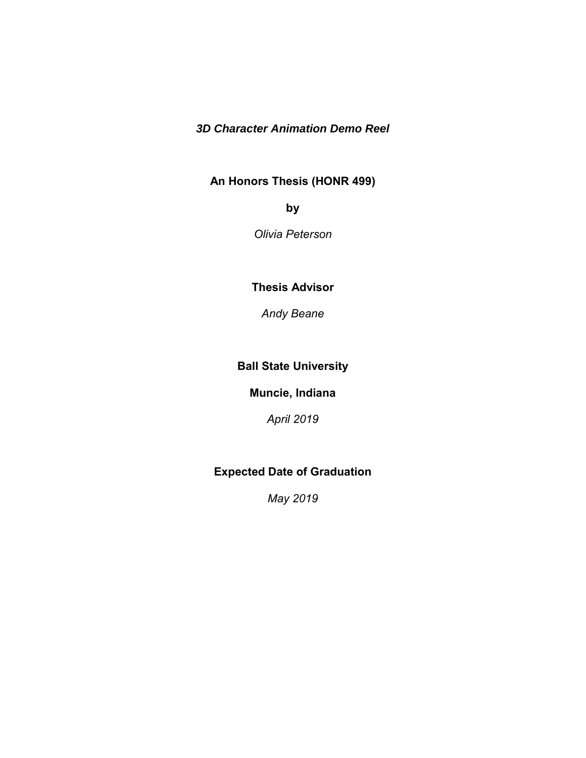# *3D Character Animation Demo Reel*

# **An Honors Thesis (HONR 499)**

**by**

*Olivia Peterson*

**Thesis Advisor** 

*Andy Beane*

# **Ball State University**

**Muncie, Indiana** 

*April 2019* 

# **Expected Date of Graduation**

*May 2019*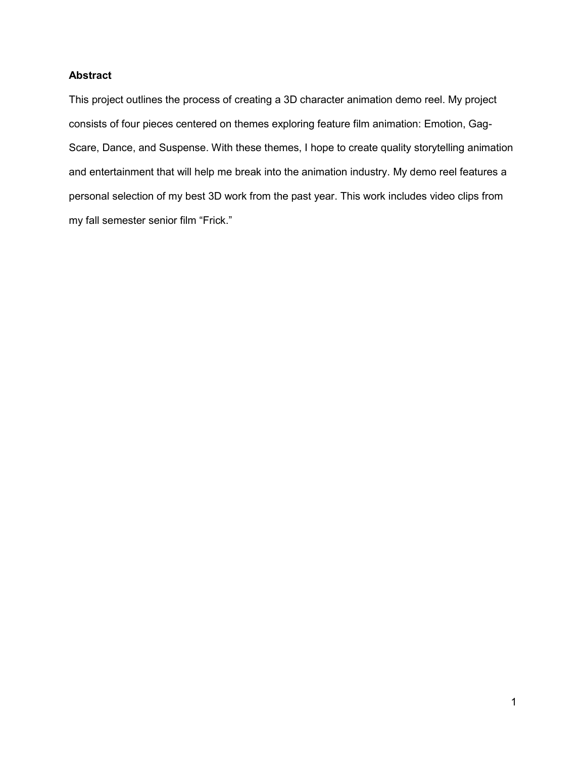## **Abstract**

This project outlines the process of creating a 3D character animation demo reel. My project consists of four pieces centered on themes exploring feature film animation: Emotion, Gag-Scare, Dance, and Suspense. With these themes, I hope to create quality storytelling animation and entertainment that will help me break into the animation industry. My demo reel features a personal selection of my best 3D work from the past year. This work includes video clips from my fall semester senior film "Frick."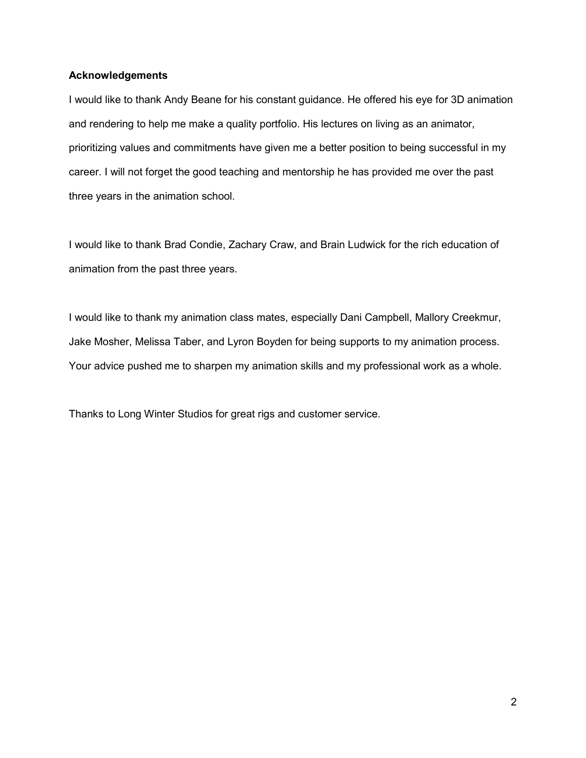### **Acknowledgements**

I would like to thank Andy Beane for his constant guidance. He offered his eye for 3D animation and rendering to help me make a quality portfolio. His lectures on living as an animator, prioritizing values and commitments have given me a better position to being successful in my career. I will not forget the good teaching and mentorship he has provided me over the past three years in the animation school.

I would like to thank Brad Condie, Zachary Craw, and Brain Ludwick for the rich education of animation from the past three years.

I would like to thank my animation class mates, especially Dani Campbell, Mallory Creekmur, Jake Mosher, Melissa Taber, and Lyron Boyden for being supports to my animation process. Your advice pushed me to sharpen my animation skills and my professional work as a whole.

Thanks to Long Winter Studios for great rigs and customer service.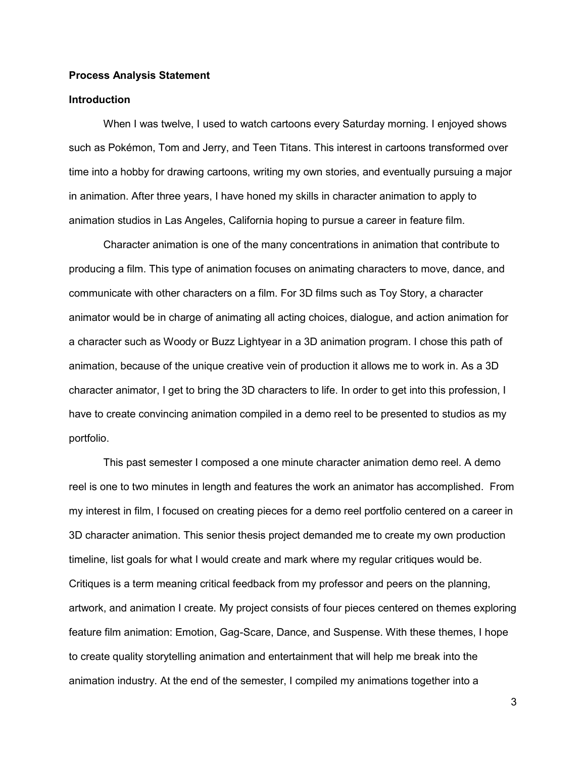#### **Process Analysis Statement**

### **Introduction**

When I was twelve, I used to watch cartoons every Saturday morning. I enjoyed shows such as Pokémon, Tom and Jerry, and Teen Titans. This interest in cartoons transformed over time into a hobby for drawing cartoons, writing my own stories, and eventually pursuing a major in animation. After three years, I have honed my skills in character animation to apply to animation studios in Las Angeles, California hoping to pursue a career in feature film.

Character animation is one of the many concentrations in animation that contribute to producing a film. This type of animation focuses on animating characters to move, dance, and communicate with other characters on a film. For 3D films such as Toy Story, a character animator would be in charge of animating all acting choices, dialogue, and action animation for a character such as Woody or Buzz Lightyear in a 3D animation program. I chose this path of animation, because of the unique creative vein of production it allows me to work in. As a 3D character animator, I get to bring the 3D characters to life. In order to get into this profession, I have to create convincing animation compiled in a demo reel to be presented to studios as my portfolio.

This past semester I composed a one minute character animation demo reel. A demo reel is one to two minutes in length and features the work an animator has accomplished. From my interest in film, I focused on creating pieces for a demo reel portfolio centered on a career in 3D character animation. This senior thesis project demanded me to create my own production timeline, list goals for what I would create and mark where my regular critiques would be. Critiques is a term meaning critical feedback from my professor and peers on the planning, artwork, and animation I create. My project consists of four pieces centered on themes exploring feature film animation: Emotion, Gag-Scare, Dance, and Suspense. With these themes, I hope to create quality storytelling animation and entertainment that will help me break into the animation industry. At the end of the semester, I compiled my animations together into a

3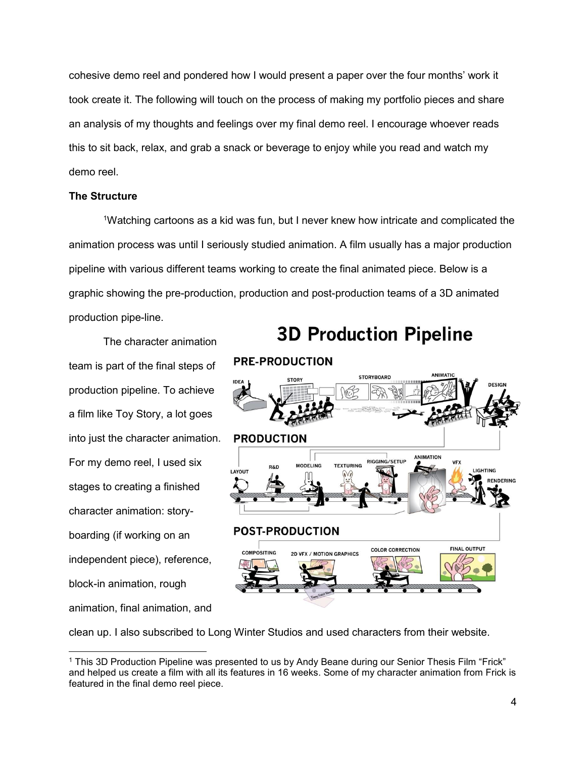cohesive demo reel and pondered how I would present a paper over the four months' work it took create it. The following will touch on the process of making my portfolio pieces and share an analysis of my thoughts and feelings over my final demo reel. I encourage whoever reads this to sit back, relax, and grab a snack or beverage to enjoy while you read and watch my demo reel.

#### **The Structure**

<sup>1</sup>Watching cartoons as a kid was fun, but I never knew how intricate and complicated the animation process was until I seriously studied animation. A film usually has a major production pipeline with various different teams working to create the final animated piece. Below is a graphic showing the pre-production, production and post-production teams of a 3D animated production pipe-line.

The character animation team is part of the final steps of production pipeline. To achieve a film like Toy Story, a lot goes into just the character animation. For my demo reel, I used six stages to creating a finished character animation: storyboarding (if working on an independent piece), reference, block-in animation, rough animation, final animation, and

 $\overline{a}$ 



**3D Production Pipeline** 

clean up. I also subscribed to Long Winter Studios and used characters from their website.

<sup>1</sup> This 3D Production Pipeline was presented to us by Andy Beane during our Senior Thesis Film "Frick" and helped us create a film with all its features in 16 weeks. Some of my character animation from Frick is featured in the final demo reel piece.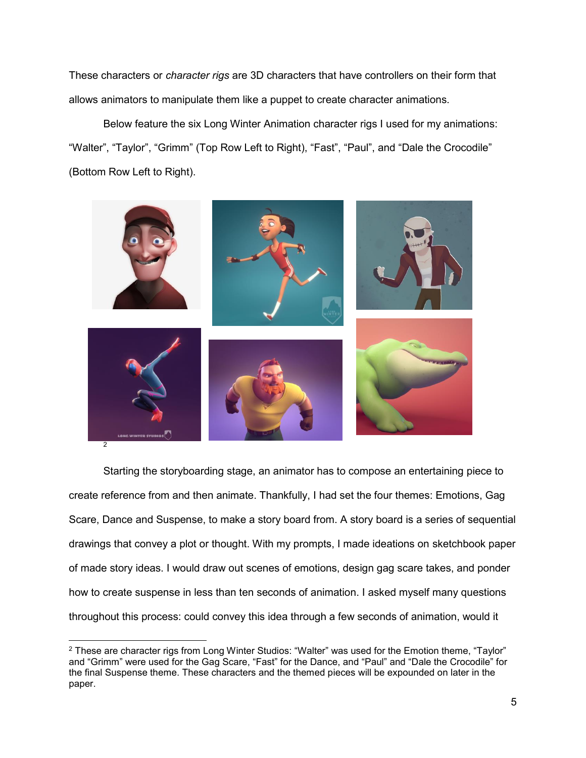These characters or *character rigs* are 3D characters that have controllers on their form that allows animators to manipulate them like a puppet to create character animations.

Below feature the six Long Winter Animation character rigs I used for my animations: "Walter", "Taylor", "Grimm" (Top Row Left to Right), "Fast", "Paul", and "Dale the Crocodile" (Bottom Row Left to Right).



Starting the storyboarding stage, an animator has to compose an entertaining piece to create reference from and then animate. Thankfully, I had set the four themes: Emotions, Gag Scare, Dance and Suspense, to make a story board from. A story board is a series of sequential drawings that convey a plot or thought. With my prompts, I made ideations on sketchbook paper of made story ideas. I would draw out scenes of emotions, design gag scare takes, and ponder how to create suspense in less than ten seconds of animation. I asked myself many questions throughout this process: could convey this idea through a few seconds of animation, would it

<sup>-</sup><sup>2</sup> These are character rigs from Long Winter Studios: "Walter" was used for the Emotion theme, "Taylor" and "Grimm" were used for the Gag Scare, "Fast" for the Dance, and "Paul" and "Dale the Crocodile" for the final Suspense theme. These characters and the themed pieces will be expounded on later in the paper.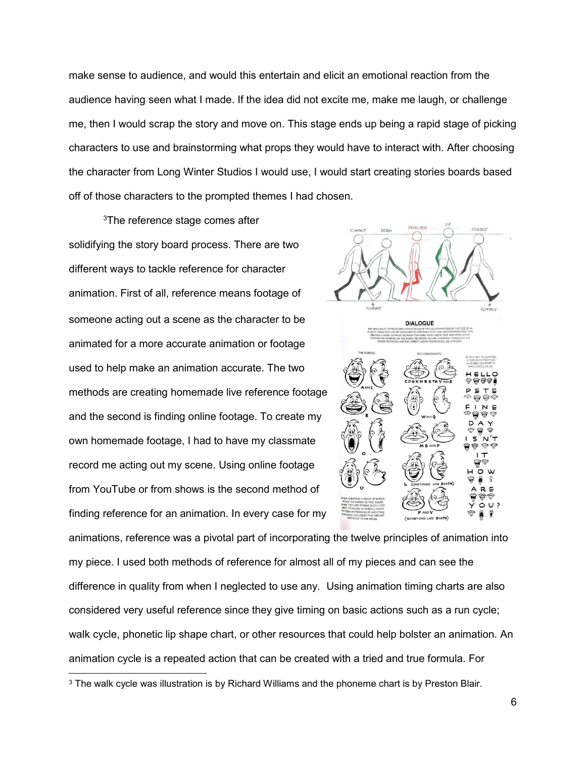make sense to audience, and would this entertain and elicit an emotional reaction from the audience having seen what I made. If the idea did not excite me, make me laugh, or challenge me, then I would scrap the story and move on. This stage ends up being a rapid stage of picking characters to use and brainstorming what props they would have to interact with. After choosing the character from Long Winter Studios I would use, I would start creating stories boards based off of those characters to the prompted themes I had chosen.

<sup>3</sup>The reference stage comes after solidifying the story board process. There are two different ways to tackle reference for character animation. First of all, reference means footage of someone acting out a scene as the character to be animated for a more accurate animation or footage used to help make an animation accurate. The two methods are creating homemade live reference footage and the second is finding online footage. To create my own homemade footage, I had to have my classmate record me acting out my scene. Using online footage from YouTube or from shows is the second method of finding reference for an animation. In every case for my

 $\overline{a}$ 



animations, reference was a pivotal part of incorporating the twelve principles of animation into my piece. I used both methods of reference for almost all of my pieces and can see the difference in quality from when I neglected to use any. Using animation timing charts are also considered very useful reference since they give timing on basic actions such as a run cycle; walk cycle, phonetic lip shape chart, or other resources that could help bolster an animation. An animation cycle is a repeated action that can be created with a tried and true formula. For

<sup>&</sup>lt;sup>3</sup> The walk cycle was illustration is by Richard Williams and the phoneme chart is by Preston Blair.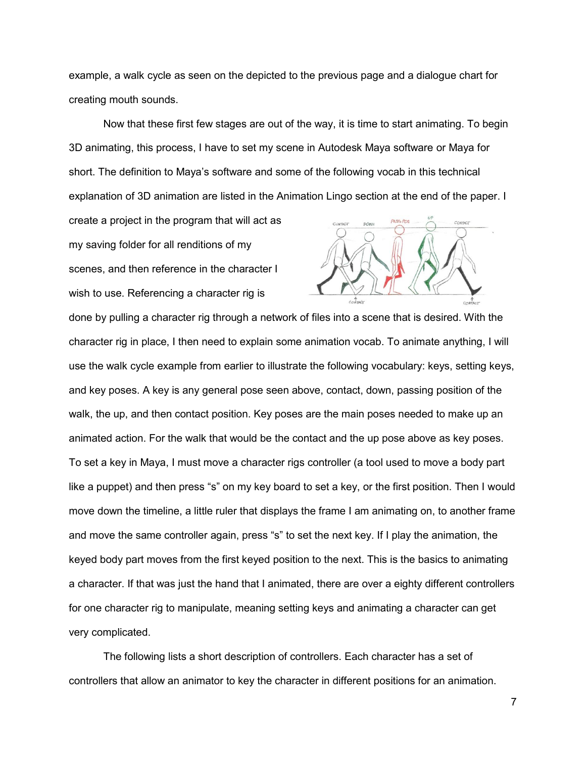example, a walk cycle as seen on the depicted to the previous page and a dialogue chart for creating mouth sounds.

Now that these first few stages are out of the way, it is time to start animating. To begin 3D animating, this process, I have to set my scene in Autodesk Maya software or Maya for short. The definition to Maya's software and some of the following vocab in this technical explanation of 3D animation are listed in the Animation Lingo section at the end of the paper. I

create a project in the program that will act as my saving folder for all renditions of my scenes, and then reference in the character I wish to use. Referencing a character rig is



done by pulling a character rig through a network of files into a scene that is desired. With the character rig in place, I then need to explain some animation vocab. To animate anything, I will use the walk cycle example from earlier to illustrate the following vocabulary: keys, setting keys, and key poses. A key is any general pose seen above, contact, down, passing position of the walk, the up, and then contact position. Key poses are the main poses needed to make up an animated action. For the walk that would be the contact and the up pose above as key poses. To set a key in Maya, I must move a character rigs controller (a tool used to move a body part like a puppet) and then press "s" on my key board to set a key, or the first position. Then I would move down the timeline, a little ruler that displays the frame I am animating on, to another frame and move the same controller again, press "s" to set the next key. If I play the animation, the keyed body part moves from the first keyed position to the next. This is the basics to animating a character. If that was just the hand that I animated, there are over a eighty different controllers for one character rig to manipulate, meaning setting keys and animating a character can get very complicated.

The following lists a short description of controllers. Each character has a set of controllers that allow an animator to key the character in different positions for an animation.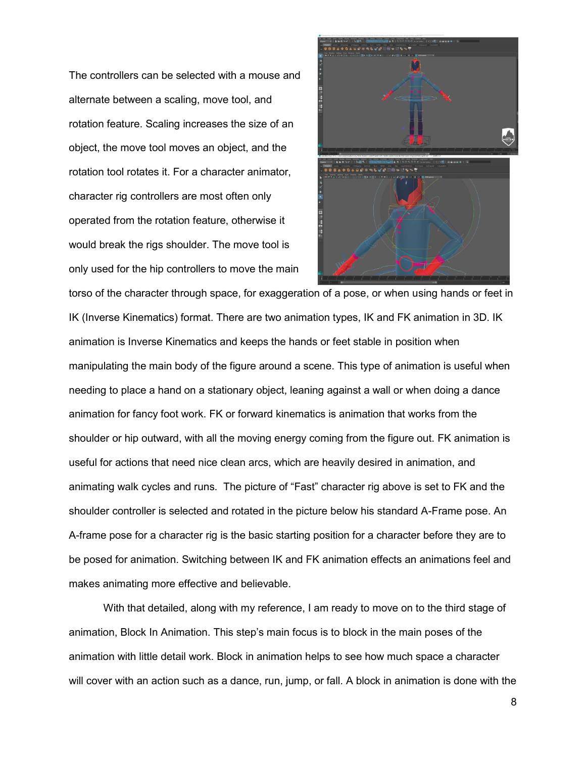The controllers can be selected with a mouse and alternate between a scaling, move tool, and rotation feature. Scaling increases the size of an object, the move tool moves an object, and the rotation tool rotates it. For a character animator, character rig controllers are most often only operated from the rotation feature, otherwise it would break the rigs shoulder. The move tool is only used for the hip controllers to move the main



torso of the character through space, for exaggeration of a pose, or when using hands or feet in IK (Inverse Kinematics) format. There are two animation types, IK and FK animation in 3D. IK animation is Inverse Kinematics and keeps the hands or feet stable in position when manipulating the main body of the figure around a scene. This type of animation is useful when needing to place a hand on a stationary object, leaning against a wall or when doing a dance animation for fancy foot work. FK or forward kinematics is animation that works from the shoulder or hip outward, with all the moving energy coming from the figure out. FK animation is useful for actions that need nice clean arcs, which are heavily desired in animation, and animating walk cycles and runs. The picture of "Fast" character rig above is set to FK and the shoulder controller is selected and rotated in the picture below his standard A-Frame pose. An A-frame pose for a character rig is the basic starting position for a character before they are to be posed for animation. Switching between IK and FK animation effects an animations feel and makes animating more effective and believable.

With that detailed, along with my reference, I am ready to move on to the third stage of animation, Block In Animation. This step's main focus is to block in the main poses of the animation with little detail work. Block in animation helps to see how much space a character will cover with an action such as a dance, run, jump, or fall. A block in animation is done with the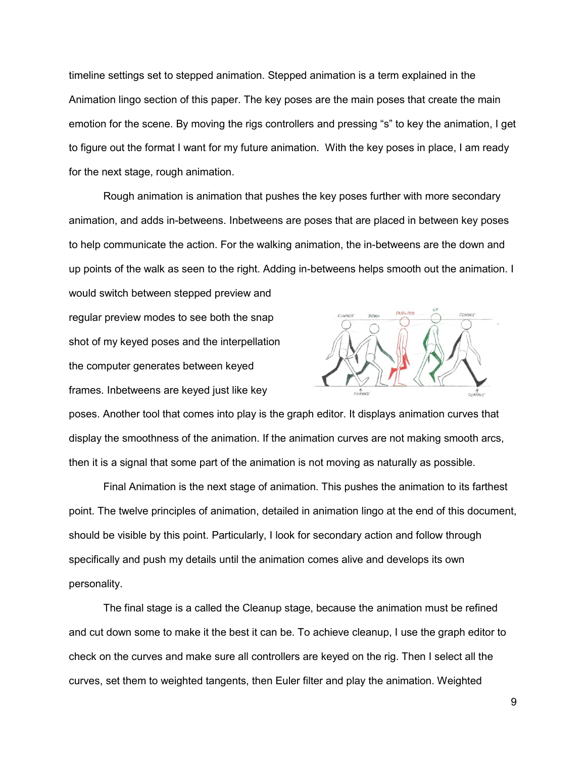timeline settings set to stepped animation. Stepped animation is a term explained in the Animation lingo section of this paper. The key poses are the main poses that create the main emotion for the scene. By moving the rigs controllers and pressing "s" to key the animation, I get to figure out the format I want for my future animation. With the key poses in place, I am ready for the next stage, rough animation.

Rough animation is animation that pushes the key poses further with more secondary animation, and adds in-betweens. Inbetweens are poses that are placed in between key poses to help communicate the action. For the walking animation, the in-betweens are the down and up points of the walk as seen to the right. Adding in-betweens helps smooth out the animation. I

would switch between stepped preview and regular preview modes to see both the snap shot of my keyed poses and the interpellation the computer generates between keyed frames. Inbetweens are keyed just like key



poses. Another tool that comes into play is the graph editor. It displays animation curves that display the smoothness of the animation. If the animation curves are not making smooth arcs, then it is a signal that some part of the animation is not moving as naturally as possible.

Final Animation is the next stage of animation. This pushes the animation to its farthest point. The twelve principles of animation, detailed in animation lingo at the end of this document, should be visible by this point. Particularly, I look for secondary action and follow through specifically and push my details until the animation comes alive and develops its own personality.

The final stage is a called the Cleanup stage, because the animation must be refined and cut down some to make it the best it can be. To achieve cleanup, I use the graph editor to check on the curves and make sure all controllers are keyed on the rig. Then I select all the curves, set them to weighted tangents, then Euler filter and play the animation. Weighted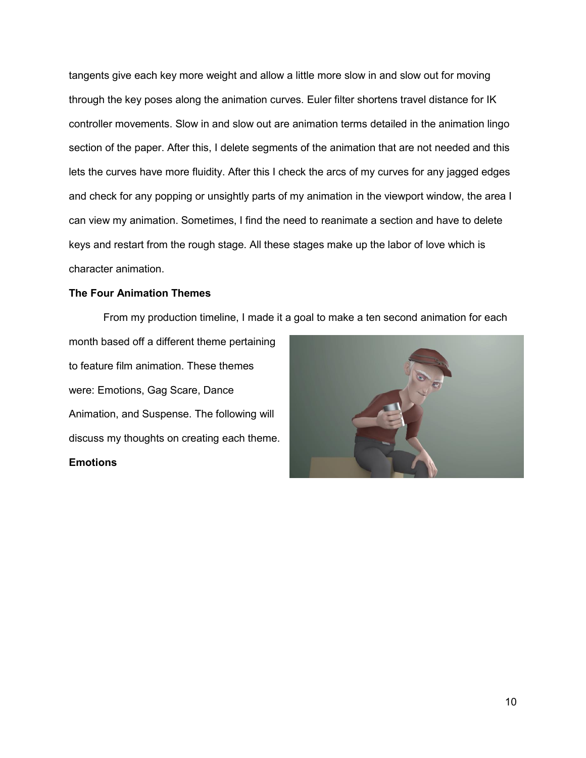tangents give each key more weight and allow a little more slow in and slow out for moving through the key poses along the animation curves. Euler filter shortens travel distance for IK controller movements. Slow in and slow out are animation terms detailed in the animation lingo section of the paper. After this, I delete segments of the animation that are not needed and this lets the curves have more fluidity. After this I check the arcs of my curves for any jagged edges and check for any popping or unsightly parts of my animation in the viewport window, the area I can view my animation. Sometimes, I find the need to reanimate a section and have to delete keys and restart from the rough stage. All these stages make up the labor of love which is character animation.

#### **The Four Animation Themes**

From my production timeline, I made it a goal to make a ten second animation for each

month based off a different theme pertaining to feature film animation. These themes were: Emotions, Gag Scare, Dance Animation, and Suspense. The following will discuss my thoughts on creating each theme. **Emotions**

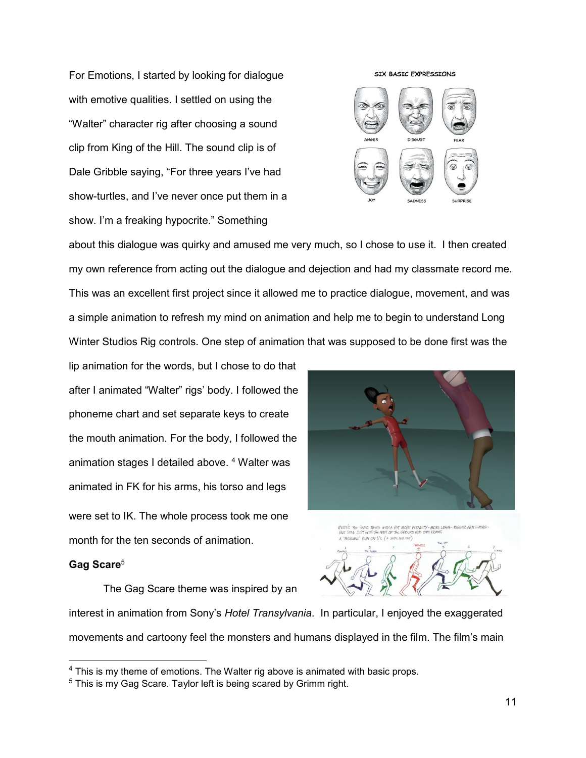For Emotions, I started by looking for dialogue with emotive qualities. I settled on using the "Walter" character rig after choosing a sound clip from King of the Hill. The sound clip is of Dale Gribble saying, "For three years I've had show-turtles, and I've never once put them in a show. I'm a freaking hypocrite." Something



about this dialogue was quirky and amused me very much, so I chose to use it. I then created my own reference from acting out the dialogue and dejection and had my classmate record me. This was an excellent first project since it allowed me to practice dialogue, movement, and was a simple animation to refresh my mind on animation and help me to begin to understand Long Winter Studios Rig controls. One step of animation that was supposed to be done first was the

lip animation for the words, but I chose to do that after I animated "Walter" rigs' body. I followed the phoneme chart and set separate keys to create the mouth animation. For the body, I followed the animation stages I detailed above.<sup>4</sup> Walter was animated in FK for his arms, his torso and legs were set to IK. The whole process took me one month for the ten seconds of animation.

#### **Gag Scare**<sup>5</sup>

 $\overline{a}$ 

The Gag Scare theme was inspired by an interest in animation from Sony's *Hotel Transylvania*. In particular, I enjoyed the exaggerated movements and cartoony feel the monsters and humans displayed in the film. The film's main





<sup>&</sup>lt;sup>4</sup> This is my theme of emotions. The Walter rig above is animated with basic props.

<sup>&</sup>lt;sup>5</sup> This is my Gag Scare. Taylor left is being scared by Grimm right.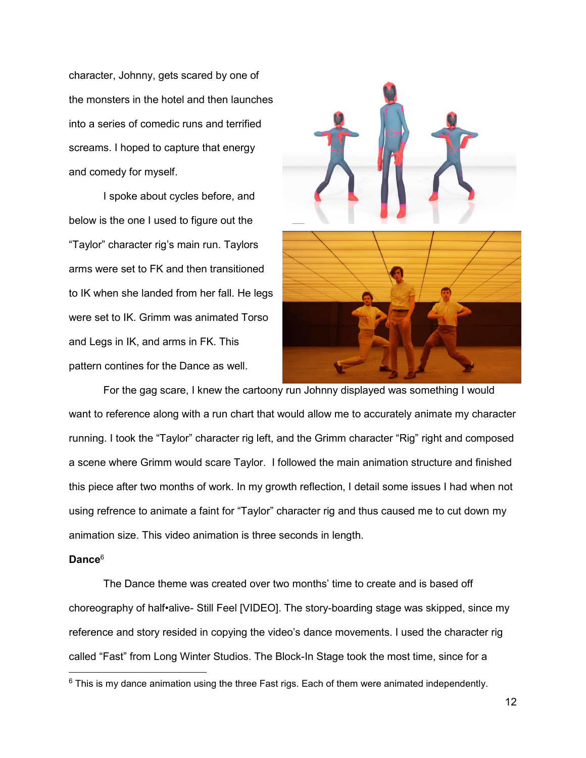character, Johnny, gets scared by one of the monsters in the hotel and then launches into a series of comedic runs and terrified screams. I hoped to capture that energy and comedy for myself.

I spoke about cycles before, and below is the one I used to figure out the "Taylor" character rig's main run. Taylors arms were set to FK and then transitioned to IK when she landed from her fall. He legs were set to IK. Grimm was animated Torso and Legs in IK, and arms in FK. This pattern contines for the Dance as well.



For the gag scare, I knew the cartoony run Johnny displayed was something I would want to reference along with a run chart that would allow me to accurately animate my character running. I took the "Taylor" character rig left, and the Grimm character "Rig" right and composed a scene where Grimm would scare Taylor. I followed the main animation structure and finished this piece after two months of work. In my growth reflection, I detail some issues I had when not using refrence to animate a faint for "Taylor" character rig and thus caused me to cut down my animation size. This video animation is three seconds in length.

### **Dance**<sup>6</sup>

-

The Dance theme was created over two months' time to create and is based off choreography of half•alive- Still Feel [VIDEO]. The story-boarding stage was skipped, since my reference and story resided in copying the video's dance movements. I used the character rig called "Fast" from Long Winter Studios. The Block-In Stage took the most time, since for a

 $6$  This is my dance animation using the three Fast rigs. Each of them were animated independently.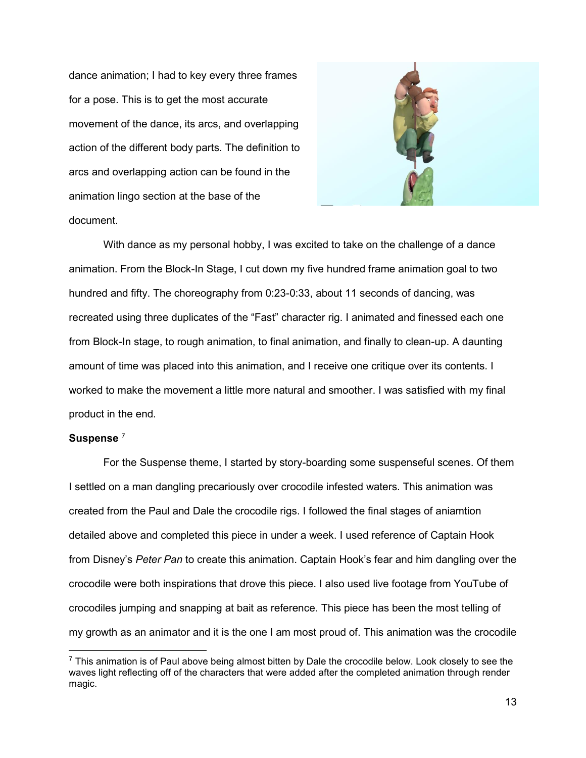dance animation; I had to key every three frames for a pose. This is to get the most accurate movement of the dance, its arcs, and overlapping action of the different body parts. The definition to arcs and overlapping action can be found in the animation lingo section at the base of the document.



With dance as my personal hobby, I was excited to take on the challenge of a dance animation. From the Block-In Stage, I cut down my five hundred frame animation goal to two hundred and fifty. The choreography from 0:23-0:33, about 11 seconds of dancing, was recreated using three duplicates of the "Fast" character rig. I animated and finessed each one from Block-In stage, to rough animation, to final animation, and finally to clean-up. A daunting amount of time was placed into this animation, and I receive one critique over its contents. I worked to make the movement a little more natural and smoother. I was satisfied with my final product in the end.

### **Suspense** <sup>7</sup>

 $\overline{a}$ 

For the Suspense theme, I started by story-boarding some suspenseful scenes. Of them I settled on a man dangling precariously over crocodile infested waters. This animation was created from the Paul and Dale the crocodile rigs. I followed the final stages of aniamtion detailed above and completed this piece in under a week. I used reference of Captain Hook from Disney's *Peter Pan* to create this animation. Captain Hook's fear and him dangling over the crocodile were both inspirations that drove this piece. I also used live footage from YouTube of crocodiles jumping and snapping at bait as reference. This piece has been the most telling of my growth as an animator and it is the one I am most proud of. This animation was the crocodile

 $^7$  This animation is of Paul above being almost bitten by Dale the crocodile below. Look closely to see the waves light reflecting off of the characters that were added after the completed animation through render magic.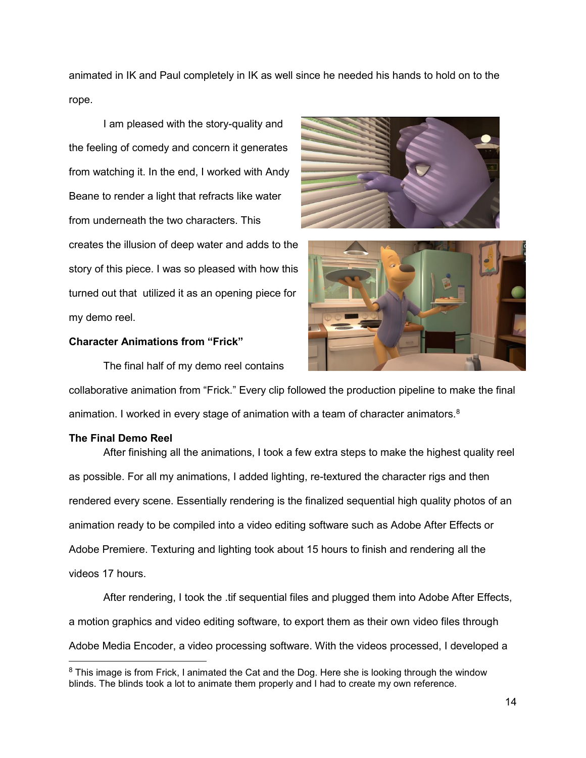animated in IK and Paul completely in IK as well since he needed his hands to hold on to the rope.

I am pleased with the story-quality and the feeling of comedy and concern it generates from watching it. In the end, I worked with Andy Beane to render a light that refracts like water from underneath the two characters. This creates the illusion of deep water and adds to the story of this piece. I was so pleased with how this turned out that utilized it as an opening piece for my demo reel.

#### **Character Animations from "Frick"**

The final half of my demo reel contains





collaborative animation from "Frick." Every clip followed the production pipeline to make the final animation. I worked in every stage of animation with a team of character animators. $8$ 

#### **The Final Demo Reel**

 $\overline{a}$ 

After finishing all the animations, I took a few extra steps to make the highest quality reel as possible. For all my animations, I added lighting, re-textured the character rigs and then rendered every scene. Essentially rendering is the finalized sequential high quality photos of an animation ready to be compiled into a video editing software such as Adobe After Effects or Adobe Premiere. Texturing and lighting took about 15 hours to finish and rendering all the videos 17 hours.

After rendering, I took the .tif sequential files and plugged them into Adobe After Effects, a motion graphics and video editing software, to export them as their own video files through Adobe Media Encoder, a video processing software. With the videos processed, I developed a

<sup>&</sup>lt;sup>8</sup> This image is from Frick, I animated the Cat and the Dog. Here she is looking through the window blinds. The blinds took a lot to animate them properly and I had to create my own reference.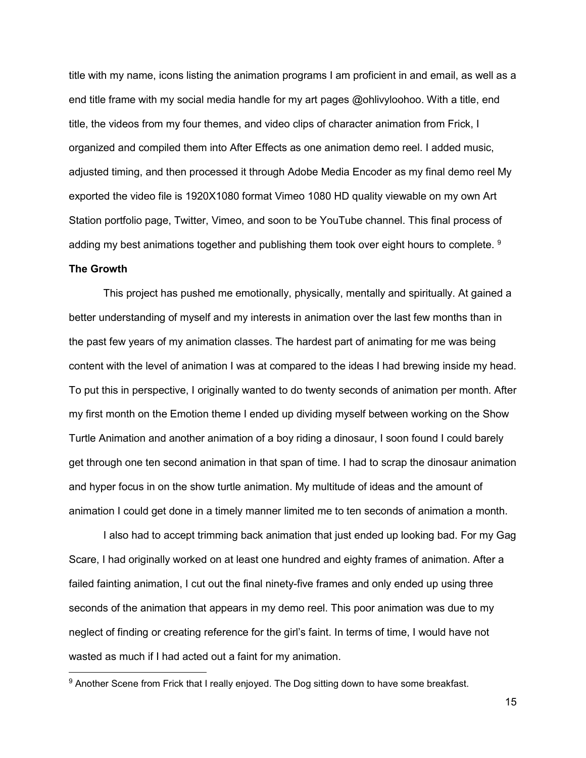title with my name, icons listing the animation programs I am proficient in and email, as well as a end title frame with my social media handle for my art pages @ohlivyloohoo. With a title, end title, the videos from my four themes, and video clips of character animation from Frick, I organized and compiled them into After Effects as one animation demo reel. I added music, adjusted timing, and then processed it through Adobe Media Encoder as my final demo reel My exported the video file is 1920X1080 format Vimeo 1080 HD quality viewable on my own Art Station portfolio page, Twitter, Vimeo, and soon to be YouTube channel. This final process of adding my best animations together and publishing them took over eight hours to complete. <sup>9</sup> **The Growth**

This project has pushed me emotionally, physically, mentally and spiritually. At gained a better understanding of myself and my interests in animation over the last few months than in the past few years of my animation classes. The hardest part of animating for me was being content with the level of animation I was at compared to the ideas I had brewing inside my head. To put this in perspective, I originally wanted to do twenty seconds of animation per month. After my first month on the Emotion theme I ended up dividing myself between working on the Show Turtle Animation and another animation of a boy riding a dinosaur, I soon found I could barely get through one ten second animation in that span of time. I had to scrap the dinosaur animation and hyper focus in on the show turtle animation. My multitude of ideas and the amount of animation I could get done in a timely manner limited me to ten seconds of animation a month.

I also had to accept trimming back animation that just ended up looking bad. For my Gag Scare, I had originally worked on at least one hundred and eighty frames of animation. After a failed fainting animation, I cut out the final ninety-five frames and only ended up using three seconds of the animation that appears in my demo reel. This poor animation was due to my neglect of finding or creating reference for the girl's faint. In terms of time, I would have not wasted as much if I had acted out a faint for my animation.

-

15

<sup>&</sup>lt;sup>9</sup> Another Scene from Frick that I really enjoyed. The Dog sitting down to have some breakfast.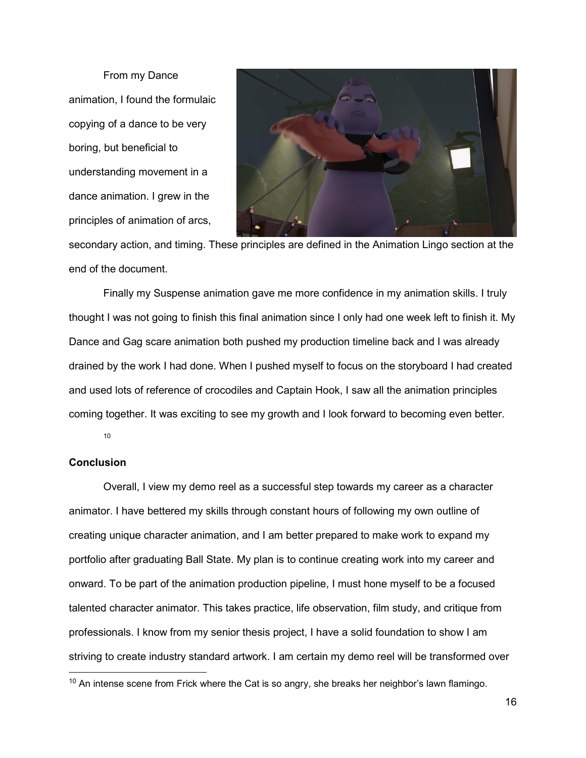From my Dance animation, I found the formulaic copying of a dance to be very boring, but beneficial to understanding movement in a dance animation. I grew in the principles of animation of arcs,



secondary action, and timing. These principles are defined in the Animation Lingo section at the end of the document.

Finally my Suspense animation gave me more confidence in my animation skills. I truly thought I was not going to finish this final animation since I only had one week left to finish it. My Dance and Gag scare animation both pushed my production timeline back and I was already drained by the work I had done. When I pushed myself to focus on the storyboard I had created and used lots of reference of crocodiles and Captain Hook, I saw all the animation principles coming together. It was exciting to see my growth and I look forward to becoming even better.

10

### **Conclusion**

-

Overall, I view my demo reel as a successful step towards my career as a character animator. I have bettered my skills through constant hours of following my own outline of creating unique character animation, and I am better prepared to make work to expand my portfolio after graduating Ball State. My plan is to continue creating work into my career and onward. To be part of the animation production pipeline, I must hone myself to be a focused talented character animator. This takes practice, life observation, film study, and critique from professionals. I know from my senior thesis project, I have a solid foundation to show I am striving to create industry standard artwork. I am certain my demo reel will be transformed over

 $10$  An intense scene from Frick where the Cat is so angry, she breaks her neighbor's lawn flamingo.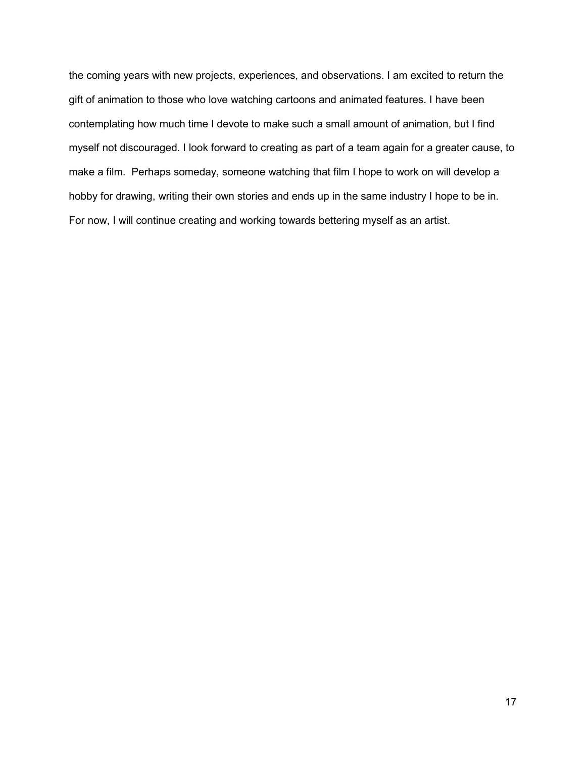the coming years with new projects, experiences, and observations. I am excited to return the gift of animation to those who love watching cartoons and animated features. I have been contemplating how much time I devote to make such a small amount of animation, but I find myself not discouraged. I look forward to creating as part of a team again for a greater cause, to make a film. Perhaps someday, someone watching that film I hope to work on will develop a hobby for drawing, writing their own stories and ends up in the same industry I hope to be in. For now, I will continue creating and working towards bettering myself as an artist.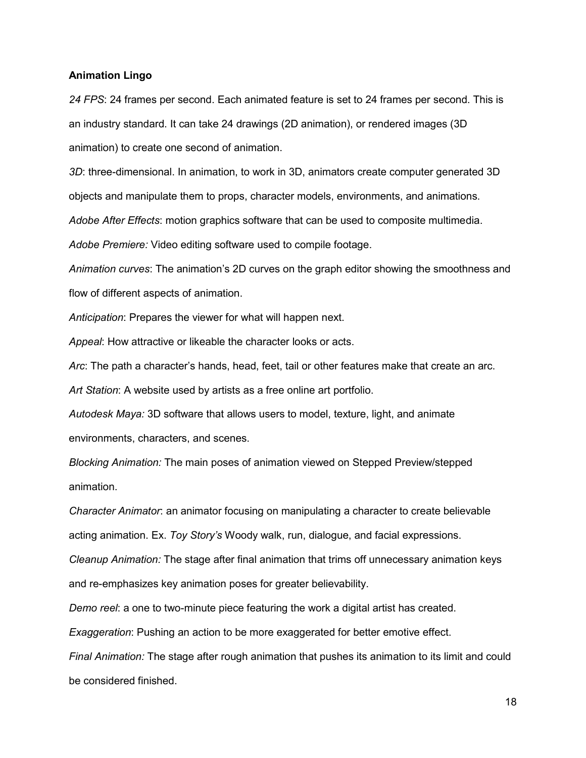#### **Animation Lingo**

*24 FPS*: 24 frames per second. Each animated feature is set to 24 frames per second. This is an industry standard. It can take 24 drawings (2D animation), or rendered images (3D animation) to create one second of animation.

*3D*: three-dimensional. In animation, to work in 3D, animators create computer generated 3D objects and manipulate them to props, character models, environments, and animations. *Adobe After Effects*: motion graphics software that can be used to composite multimedia. *Adobe Premiere:* Video editing software used to compile footage.

*Animation curves*: The animation's 2D curves on the graph editor showing the smoothness and flow of different aspects of animation.

*Anticipation*: Prepares the viewer for what will happen next.

*Appeal*: How attractive or likeable the character looks or acts.

*Arc*: The path a character's hands, head, feet, tail or other features make that create an arc.

*Art Station*: A website used by artists as a free online art portfolio.

*Autodesk Maya:* 3D software that allows users to model, texture, light, and animate environments, characters, and scenes.

*Blocking Animation:* The main poses of animation viewed on Stepped Preview/stepped animation.

*Character Animator*: an animator focusing on manipulating a character to create believable acting animation. Ex. *Toy Story's* Woody walk, run, dialogue, and facial expressions.

*Cleanup Animation:* The stage after final animation that trims off unnecessary animation keys and re-emphasizes key animation poses for greater believability.

*Demo reel*: a one to two-minute piece featuring the work a digital artist has created.

*Exaggeration*: Pushing an action to be more exaggerated for better emotive effect.

*Final Animation:* The stage after rough animation that pushes its animation to its limit and could be considered finished.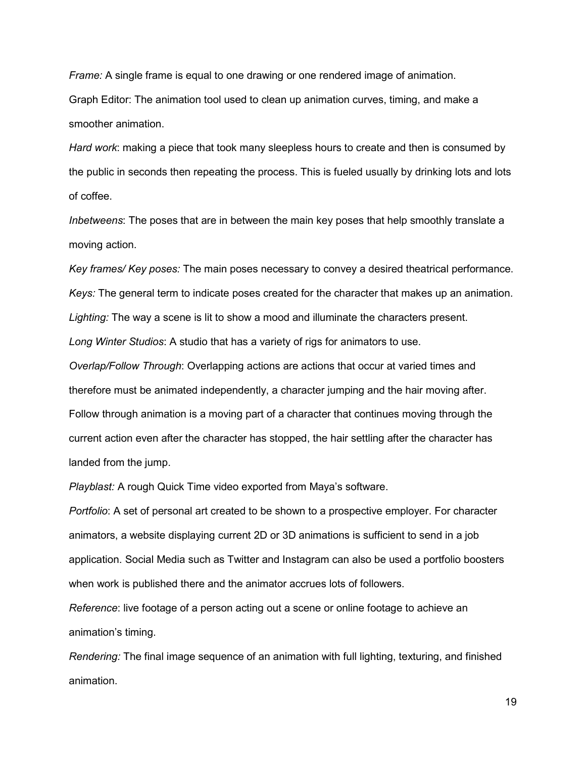*Frame:* A single frame is equal to one drawing or one rendered image of animation. Graph Editor: The animation tool used to clean up animation curves, timing, and make a smoother animation.

*Hard work*: making a piece that took many sleepless hours to create and then is consumed by the public in seconds then repeating the process. This is fueled usually by drinking lots and lots of coffee.

*Inbetweens*: The poses that are in between the main key poses that help smoothly translate a moving action.

*Key frames/ Key poses:* The main poses necessary to convey a desired theatrical performance. *Keys:* The general term to indicate poses created for the character that makes up an animation. *Lighting:* The way a scene is lit to show a mood and illuminate the characters present. *Long Winter Studios*: A studio that has a variety of rigs for animators to use.

*Overlap/Follow Through*: Overlapping actions are actions that occur at varied times and therefore must be animated independently, a character jumping and the hair moving after. Follow through animation is a moving part of a character that continues moving through the current action even after the character has stopped, the hair settling after the character has landed from the jump.

*Playblast:* A rough Quick Time video exported from Maya's software.

*Portfolio*: A set of personal art created to be shown to a prospective employer. For character animators, a website displaying current 2D or 3D animations is sufficient to send in a job application. Social Media such as Twitter and Instagram can also be used a portfolio boosters when work is published there and the animator accrues lots of followers.

*Reference*: live footage of a person acting out a scene or online footage to achieve an animation's timing.

*Rendering:* The final image sequence of an animation with full lighting, texturing, and finished animation.

19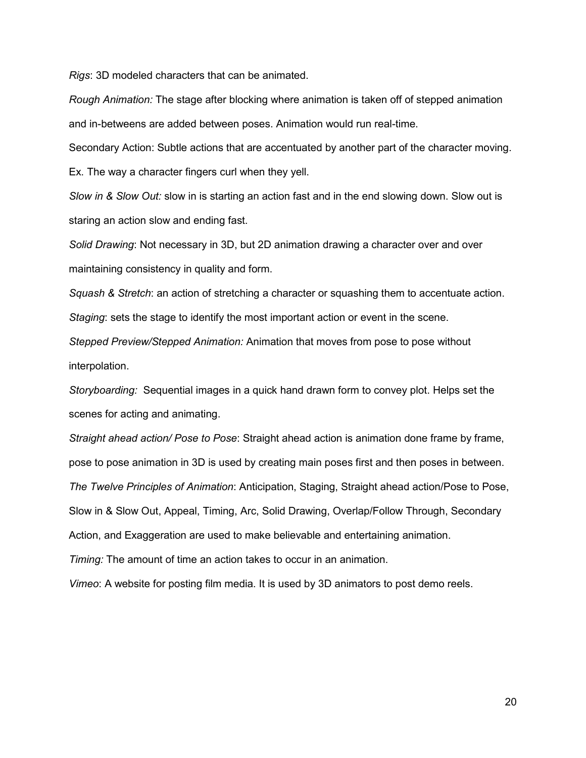*Rigs*: 3D modeled characters that can be animated.

*Rough Animation:* The stage after blocking where animation is taken off of stepped animation and in-betweens are added between poses. Animation would run real-time.

Secondary Action: Subtle actions that are accentuated by another part of the character moving.

Ex. The way a character fingers curl when they yell.

*Slow in & Slow Out:* slow in is starting an action fast and in the end slowing down. Slow out is staring an action slow and ending fast.

*Solid Drawing*: Not necessary in 3D, but 2D animation drawing a character over and over maintaining consistency in quality and form.

*Squash & Stretch*: an action of stretching a character or squashing them to accentuate action. *Staging*: sets the stage to identify the most important action or event in the scene.

*Stepped Preview/Stepped Animation:* Animation that moves from pose to pose without interpolation.

*Storyboarding:* Sequential images in a quick hand drawn form to convey plot. Helps set the scenes for acting and animating.

*Straight ahead action/ Pose to Pose*: Straight ahead action is animation done frame by frame, pose to pose animation in 3D is used by creating main poses first and then poses in between. *The Twelve Principles of Animation*: Anticipation, Staging, Straight ahead action/Pose to Pose, Slow in & Slow Out, Appeal, Timing, Arc, Solid Drawing, Overlap/Follow Through, Secondary Action, and Exaggeration are used to make believable and entertaining animation.

*Timing:* The amount of time an action takes to occur in an animation.

*Vimeo*: A website for posting film media. It is used by 3D animators to post demo reels.